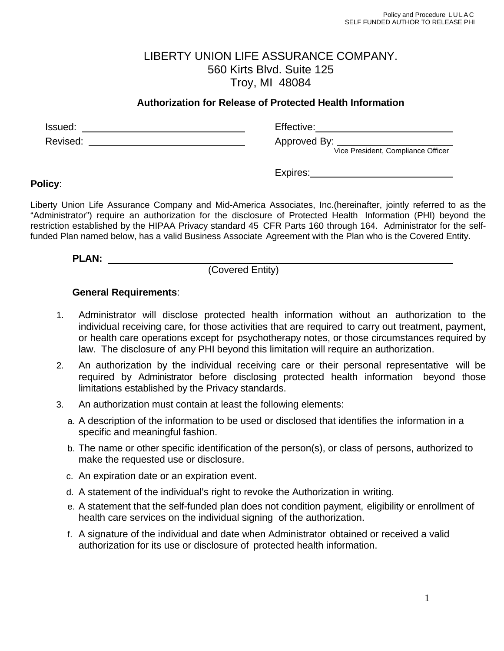## LIBERTY UNION LIFE ASSURANCE COMPANY. 560 Kirts Blvd. Suite 125 Troy, MI 48084

## **Authorization for Release of Protected Health Information**

Issued: The Communication of the Communication of the Effective: The Communication of the Communication of the Communication of the Communication of the Communication of the Communication of the Communication of the Commun Revised: Approved By: Vice President, Compliance Officer

Expires:

## **Policy**:

Liberty Union Life Assurance Company and Mid-America Associates, Inc.(hereinafter, jointly referred to as the "Administrator") require an authorization for the disclosure of Protected Health Information (PHI) beyond the restriction established by the HIPAA Privacy standard 45 CFR Parts 160 through 164. Administrator for the selffunded Plan named below, has a valid Business Associate Agreement with the Plan who is the Covered Entity.

**PLAN:** 

(Covered Entity)

## **General Requirements**:

- 1. Administrator will disclose protected health information without an authorization to the individual receiving care, for those activities that are required to carry out treatment, payment, or health care operations except for psychotherapy notes, or those circumstances required by law. The disclosure of any PHI beyond this limitation will require an authorization.
- 2. An authorization by the individual receiving care or their personal representative will be required by Administrator before disclosing protected health information beyond those limitations established by the Privacy standards.
- 3. An authorization must contain at least the following elements:
	- a. A description of the information to be used or disclosed that identifies the information in a specific and meaningful fashion.
	- b. The name or other specific identification of the person(s), or class of persons, authorized to make the requested use or disclosure.
	- c. An expiration date or an expiration event.
	- d. A statement of the individual's right to revoke the Authorization in writing.
	- e. A statement that the self-funded plan does not condition payment, eligibility or enrollment of health care services on the individual signing of the authorization.
	- f. A signature of the individual and date when Administrator obtained or received a valid authorization for its use or disclosure of protected health information.